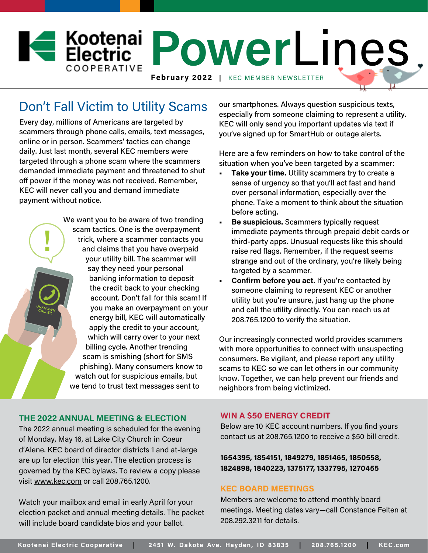

# Don't Fall Victim to Utility Scams

Every day, millions of Americans are targeted by scammers through phone calls, emails, text messages, online or in person. Scammers' tactics can change daily. Just last month, several KEC members were targeted through a phone scam where the scammers demanded immediate payment and threatened to shut off power if the money was not received. Remember, KEC will never call you and demand immediate payment without notice.

> We want you to be aware of two trending scam tactics. One is the overpayment trick, where a scammer contacts you and claims that you have overpaid your utility bill. The scammer will say they need your personal banking information to deposit the credit back to your checking account. Don't fall for this scam! If you make an overpayment on your energy bill, KEC will automatically apply the credit to your account, which will carry over to your next billing cycle. Another trending scam is smishing (short for SMS phishing). Many consumers know to watch out for suspicious emails, but we tend to trust text messages sent to

our smartphones. Always question suspicious texts, especially from someone claiming to represent a utility. KEC will only send you important updates via text if you've signed up for SmartHub or outage alerts.

Here are a few reminders on how to take control of the situation when you've been targeted by a scammer:

- **• Take your time.** Utility scammers try to create a sense of urgency so that you'll act fast and hand over personal information, especially over the phone. Take a moment to think about the situation before acting.
- **• Be suspicious.** Scammers typically request immediate payments through prepaid debit cards or third-party apps. Unusual requests like this should raise red flags. Remember, if the request seems strange and out of the ordinary, you're likely being targeted by a scammer.
- **• Confirm before you act.** If you're contacted by someone claiming to represent KEC or another utility but you're unsure, just hang up the phone and call the utility directly. You can reach us at 208.765.1200 to verify the situation.

Our increasingly connected world provides scammers with more opportunities to connect with unsuspecting consumers. Be vigilant, and please report any utility scams to KEC so we can let others in our community know. Together, we can help prevent our friends and neighbors from being victimized.

## **THE 2022 ANNUAL MEETING & ELECTION**

The 2022 annual meeting is scheduled for the evening of Monday, May 16, at Lake City Church in Coeur d'Alene. KEC board of director districts 1 and at-large are up for election this year. The election process is governed by the KEC bylaws. To review a copy please visit www.kec.com or call 208.765.1200.

Watch your mailbox and email in early April for your election packet and annual meeting details. The packet will include board candidate bios and your ballot.

## **WIN A \$50 ENERGY CREDIT**

Below are 10 KEC account numbers. If you find yours contact us at 208.765.1200 to receive a \$50 bill credit.

**1654395, 1854151, 1849279, 1851465, 1850558, 1824898, 1840223, 1375177, 1337795, 1270455**

#### **KEC BOARD MEETINGS**

Members are welcome to attend monthly board meetings. Meeting dates vary—call Constance Felten at 208.292.3211 for details.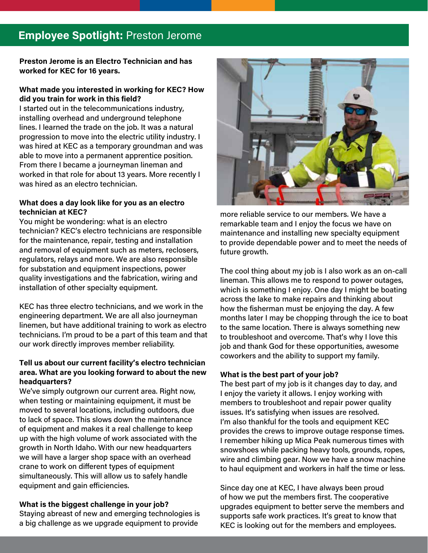# **Employee Spotlight:** Preston Jerome

**Preston Jerome is an Electro Technician and has worked for KEC for 16 years.** 

## **What made you interested in working for KEC? How did you train for work in this field?**

I started out in the telecommunications industry, installing overhead and underground telephone lines. I learned the trade on the job. It was a natural progression to move into the electric utility industry. I was hired at KEC as a temporary groundman and was able to move into a permanent apprentice position. From there I became a journeyman lineman and worked in that role for about 13 years. More recently I was hired as an electro technician.

## **What does a day look like for you as an electro technician at KEC?**

You might be wondering: what is an electro technician? KEC's electro technicians are responsible for the maintenance, repair, testing and installation and removal of equipment such as meters, reclosers, regulators, relays and more. We are also responsible for substation and equipment inspections, power quality investigations and the fabrication, wiring and installation of other specialty equipment.

KEC has three electro technicians, and we work in the engineering department. We are all also journeyman linemen, but have additional training to work as electro technicians. I'm proud to be a part of this team and that our work directly improves member reliability.

# **Tell us about our current facility's electro technician area. What are you looking forward to about the new headquarters?**

We've simply outgrown our current area. Right now, when testing or maintaining equipment, it must be moved to several locations, including outdoors, due to lack of space. This slows down the maintenance of equipment and makes it a real challenge to keep up with the high volume of work associated with the growth in North Idaho. With our new headquarters we will have a larger shop space with an overhead crane to work on different types of equipment simultaneously. This will allow us to safely handle equipment and gain efficiencies.

# **What is the biggest challenge in your job?**

Staying abreast of new and emerging technologies is a big challenge as we upgrade equipment to provide



more reliable service to our members. We have a remarkable team and I enjoy the focus we have on maintenance and installing new specialty equipment to provide dependable power and to meet the needs of future growth.

The cool thing about my job is I also work as an on-call lineman. This allows me to respond to power outages, which is something I enjoy. One day I might be boating across the lake to make repairs and thinking about how the fisherman must be enjoying the day. A few months later I may be chopping through the ice to boat to the same location. There is always something new to troubleshoot and overcome. That's why I love this job and thank God for these opportunities, awesome coworkers and the ability to support my family.

## **What is the best part of your job?**

The best part of my job is it changes day to day, and I enjoy the variety it allows. I enjoy working with members to troubleshoot and repair power quality issues. It's satisfying when issues are resolved. I'm also thankful for the tools and equipment KEC provides the crews to improve outage response times. I remember hiking up Mica Peak numerous times with snowshoes while packing heavy tools, grounds, ropes, wire and climbing gear. Now we have a snow machine to haul equipment and workers in half the time or less.

Since day one at KEC, I have always been proud of how we put the members first. The cooperative upgrades equipment to better serve the members and supports safe work practices. It's great to know that KEC is looking out for the members and employees.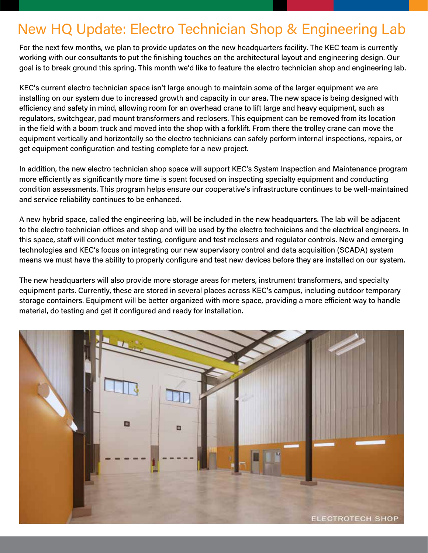# New HQ Update: Electro Technician Shop & Engineering Lab

For the next few months, we plan to provide updates on the new headquarters facility. The KEC team is currently working with our consultants to put the finishing touches on the architectural layout and engineering design. Our goal is to break ground this spring. This month we'd like to feature the electro technician shop and engineering lab.

KEC's current electro technician space isn't large enough to maintain some of the larger equipment we are installing on our system due to increased growth and capacity in our area. The new space is being designed with efficiency and safety in mind, allowing room for an overhead crane to lift large and heavy equipment, such as regulators, switchgear, pad mount transformers and reclosers. This equipment can be removed from its location in the field with a boom truck and moved into the shop with a forklift. From there the trolley crane can move the equipment vertically and horizontally so the electro technicians can safely perform internal inspections, repairs, or get equipment configuration and testing complete for a new project.

In addition, the new electro technician shop space will support KEC's System Inspection and Maintenance program more efficiently as significantly more time is spent focused on inspecting specialty equipment and conducting condition assessments. This program helps ensure our cooperative's infrastructure continues to be well-maintained and service reliability continues to be enhanced.

A new hybrid space, called the engineering lab, will be included in the new headquarters. The lab will be adjacent to the electro technician offices and shop and will be used by the electro technicians and the electrical engineers. In this space, staff will conduct meter testing, configure and test reclosers and regulator controls. New and emerging technologies and KEC's focus on integrating our new supervisory control and data acquisition (SCADA) system means we must have the ability to properly configure and test new devices before they are installed on our system.

The new headquarters will also provide more storage areas for meters, instrument transformers, and specialty equipment parts. Currently, these are stored in several places across KEC's campus, including outdoor temporary storage containers. Equipment will be better organized with more space, providing a more efficient way to handle material, do testing and get it configured and ready for installation.

RATHDRUM, IDAHO